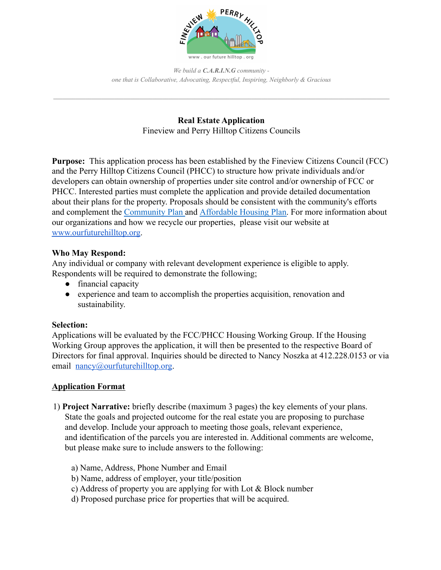

*We build a C.A.R.I.N.G community one that is Collaborative, Advocating, Respectful, Inspiring, Neighborly & Gracious*

\_\_\_\_\_\_\_\_\_\_\_\_\_\_\_\_\_\_\_\_\_\_\_\_\_\_\_\_\_\_\_\_\_\_\_\_\_\_\_\_\_\_\_\_\_\_\_\_\_\_\_\_\_\_\_\_\_\_\_\_\_\_\_\_\_\_\_\_\_\_\_\_\_\_\_\_\_\_\_\_\_\_\_\_\_\_\_\_\_\_\_\_\_\_\_\_\_\_\_\_\_\_\_\_\_

**Real Estate Application** Fineview and Perry Hilltop Citizens Councils

**Purpose:** This application process has been established by the Fineview Citizens Council (FCC) and the Perry Hilltop Citizens Council (PHCC) to structure how private individuals and/or developers can obtain ownership of properties under site control and/or ownership of FCC or PHCC. Interested parties must complete the application and provide detailed documentation about their plans for the property. Proposals should be consistent with the community's efforts and complement the Community Plan and Affordable Housing Plan. For more information about our organizations and how we recycle our properties, please visit our website at www.ourfuturehilltop.org.

## **Who May Respond:**

Any individual or company with relevant development experience is eligible to apply. Respondents will be required to demonstrate the following;

- financial capacity
- experience and team to accomplish the properties acquisition, renovation and sustainability.

## **Selection:**

Applications will be evaluated by the FCC/PHCC Housing Working Group. If the Housing Working Group approves the application, it will then be presented to the respective Board of Directors for final approval. Inquiries should be directed to Nancy Noszka at 412.228.0153 or via email [nancy@ourfuturehilltop.org](mailto:nancy@ourfuturehilltop.org).

## **Application Format**

- 1) **Project Narrative:** briefly describe (maximum 3 pages) the key elements of your plans. State the goals and projected outcome for the real estate you are proposing to purchase and develop. Include your approach to meeting those goals, relevant experience, and identification of the parcels you are interested in. Additional comments are welcome, but please make sure to include answers to the following:
	- a) Name, Address, Phone Number and Email
	- b) Name, address of employer, your title/position
	- c) Address of property you are applying for with Lot & Block number
	- d) Proposed purchase price for properties that will be acquired.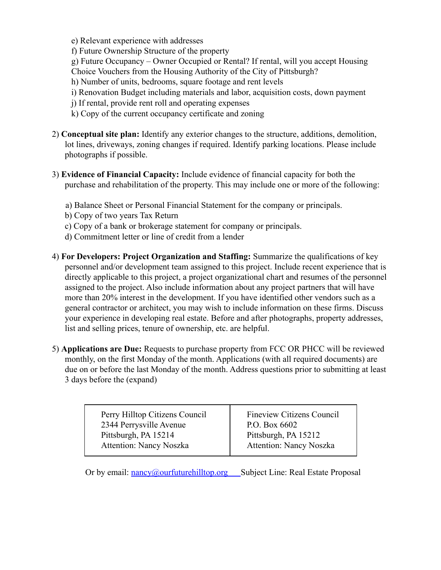- e) Relevant experience with addresses
- f) Future Ownership Structure of the property
- g) Future Occupancy Owner Occupied or Rental? If rental, will you accept Housing
- Choice Vouchers from the Housing Authority of the City of Pittsburgh?
- h) Number of units, bedrooms, square footage and rent levels
- i) Renovation Budget including materials and labor, acquisition costs, down payment
- j) If rental, provide rent roll and operating expenses
- k) Copy of the current occupancy certificate and zoning
- 2) **Conceptual site plan:** Identify any exterior changes to the structure, additions, demolition, lot lines, driveways, zoning changes if required. Identify parking locations. Please include photographs if possible.
- 3) **Evidence of Financial Capacity:** Include evidence of financial capacity for both the purchase and rehabilitation of the property. This may include one or more of the following:
	- a) Balance Sheet or Personal Financial Statement for the company or principals.
	- b) Copy of two years Tax Return
	- c) Copy of a bank or brokerage statement for company or principals.
	- d) Commitment letter or line of credit from a lender
- 4) **For Developers: Project Organization and Staffing:** Summarize the qualifications of key personnel and/or development team assigned to this project. Include recent experience that is directly applicable to this project, a project organizational chart and resumes of the personnel assigned to the project. Also include information about any project partners that will have more than 20% interest in the development. If you have identified other vendors such as a general contractor or architect, you may wish to include information on these firms. Discuss your experience in developing real estate. Before and after photographs, property addresses, list and selling prices, tenure of ownership, etc. are helpful.
- 5) **Applications are Due:** Requests to purchase property from FCC OR PHCC will be reviewed monthly, on the first Monday of the month. Applications (with all required documents) are due on or before the last Monday of the month. Address questions prior to submitting at least 3 days before the (expand)

| Perry Hilltop Citizens Council | <b>Fineview Citizens Council</b> |
|--------------------------------|----------------------------------|
| 2344 Perrysville Avenue        | P.O. Box 6602                    |
| Pittsburgh, PA 15214           | Pittsburgh, PA 15212             |
| <b>Attention: Nancy Noszka</b> | <b>Attention: Nancy Noszka</b>   |

Or by email: nancy@ourfuturehilltop.org Subject Line: Real Estate Proposal